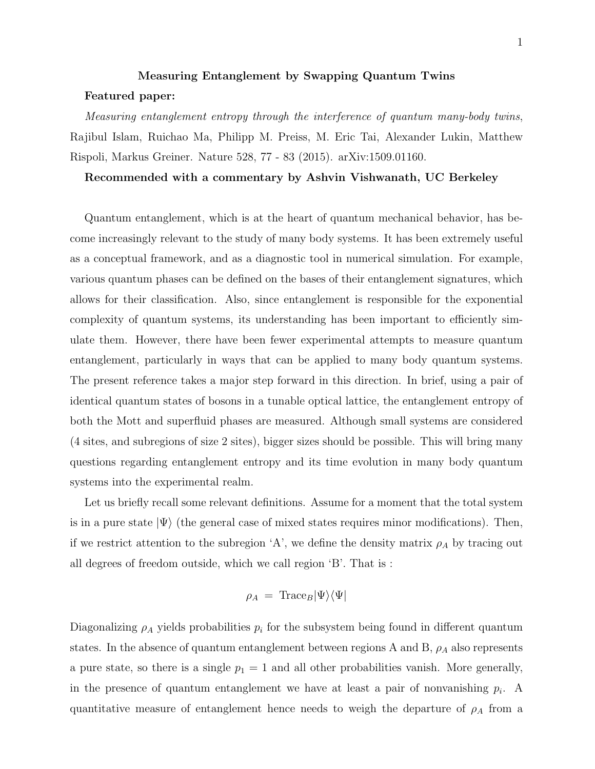## Measuring Entanglement by Swapping Quantum Twins Featured paper:

Measuring entanglement entropy through the interference of quantum many-body twins, Rajibul Islam, Ruichao Ma, Philipp M. Preiss, M. Eric Tai, Alexander Lukin, Matthew Rispoli, Markus Greiner. Nature 528, 77 - 83 (2015). arXiv:1509.01160.

## Recommended with a commentary by Ashvin Vishwanath, UC Berkeley

Quantum entanglement, which is at the heart of quantum mechanical behavior, has become increasingly relevant to the study of many body systems. It has been extremely useful as a conceptual framework, and as a diagnostic tool in numerical simulation. For example, various quantum phases can be defined on the bases of their entanglement signatures, which allows for their classification. Also, since entanglement is responsible for the exponential complexity of quantum systems, its understanding has been important to efficiently simulate them. However, there have been fewer experimental attempts to measure quantum entanglement, particularly in ways that can be applied to many body quantum systems. The present reference takes a major step forward in this direction. In brief, using a pair of identical quantum states of bosons in a tunable optical lattice, the entanglement entropy of both the Mott and superfluid phases are measured. Although small systems are considered (4 sites, and subregions of size 2 sites), bigger sizes should be possible. This will bring many questions regarding entanglement entropy and its time evolution in many body quantum systems into the experimental realm.

Let us briefly recall some relevant definitions. Assume for a moment that the total system is in a pure state  $|\Psi\rangle$  (the general case of mixed states requires minor modifications). Then, if we restrict attention to the subregion 'A', we define the density matrix  $\rho_A$  by tracing out all degrees of freedom outside, which we call region 'B'. That is :

$$
\rho_A = \text{Trace}_B |\Psi\rangle\langle\Psi|
$$

Diagonalizing  $\rho_A$  yields probabilities  $p_i$  for the subsystem being found in different quantum states. In the absence of quantum entanglement between regions A and B,  $\rho_A$  also represents a pure state, so there is a single  $p_1 = 1$  and all other probabilities vanish. More generally, in the presence of quantum entanglement we have at least a pair of nonvanishing  $p_i$ . A quantitative measure of entanglement hence needs to weigh the departure of  $\rho_A$  from a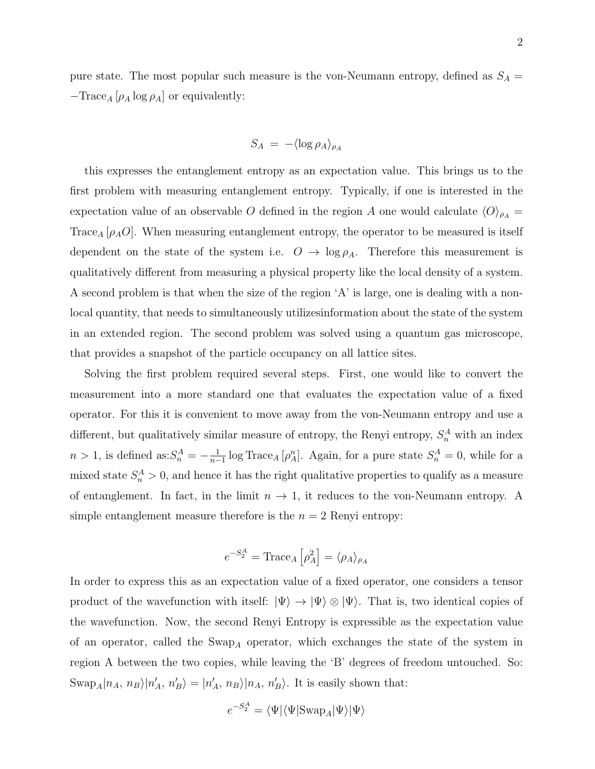pure state. The most popular such measure is the von-Neumann entropy, defined as  $S_A$  =  $-\text{Trace}_A\left[\rho_A \log \rho_A \right]$  or equivalently:

$$
S_A = -\langle \log \rho_A \rangle_{\rho_A}
$$

this expresses the entanglement entropy as an expectation value. This brings us to the first problem with measuring entanglement entropy. Typically, if one is interested in the expectation value of an observable O defined in the region A one would calculate  $\langle O \rangle_{\rho_A} =$ Trace<sub>A</sub>  $[\rho_A O]$ . When measuring entanglement entropy, the operator to be measured is itself dependent on the state of the system i.e.  $O \rightarrow \log \rho_A$ . Therefore this measurement is qualitatively different from measuring a physical property like the local density of a system. A second problem is that when the size of the region 'A' is large, one is dealing with a nonlocal quantity, that needs to simultaneously utilizesinformation about the state of the system in an extended region. The second problem was solved using a quantum gas microscope, that provides a snapshot of the particle occupancy on all lattice sites.

Solving the first problem required several steps. First, one would like to convert the measurement into a more standard one that evaluates the expectation value of a fixed operator. For this it is convenient to move away from the von-Neumann entropy and use a different, but qualitatively similar measure of entropy, the Renyi entropy,  $S_n^A$  with an index  $n > 1$ , is defined as: $S_n^A = -\frac{1}{n-1}$  $\frac{1}{n-1}$  log Trace<sub>A</sub> [ $\rho_A^n$ ]. Again, for a pure state  $S_n^A = 0$ , while for a mixed state  $S_n^A > 0$ , and hence it has the right qualitative properties to qualify as a measure of entanglement. In fact, in the limit  $n \to 1$ , it reduces to the von-Neumann entropy. A simple entanglement measure therefore is the  $n = 2$  Renyi entropy:

$$
e^{-S_2^A} = \text{Trace}_A \left[ \rho_A^2 \right] = \langle \rho_A \rangle_{\rho_A}
$$

In order to express this as an expectation value of a fixed operator, one considers a tensor product of the wavefunction with itself:  $|\Psi\rangle \rightarrow |\Psi\rangle \otimes |\Psi\rangle$ . That is, two identical copies of the wavefunction. Now, the second Renyi Entropy is expressible as the expectation value of an operator, called the  $\text{Swap}_A$  operator, which exchanges the state of the system in region A between the two copies, while leaving the 'B' degrees of freedom untouched. So:  $\text{Swap}_A|n_A, n_B\rangle|n'_A, n'_B\rangle = |n'_A, n_B\rangle|n_A, n'_B\rangle.$  It is easily shown that:

$$
e^{-S_2^A} = \langle \Psi | \langle \Psi | \text{Swap}_A | \Psi \rangle | \Psi \rangle
$$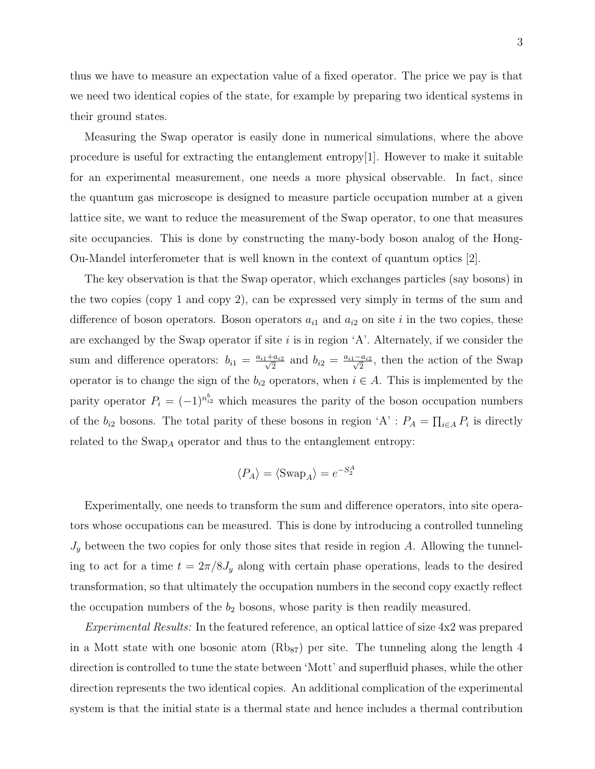thus we have to measure an expectation value of a fixed operator. The price we pay is that we need two identical copies of the state, for example by preparing two identical systems in their ground states.

Measuring the Swap operator is easily done in numerical simulations, where the above procedure is useful for extracting the entanglement entropy $[1]$ . However to make it suitable for an experimental measurement, one needs a more physical observable. In fact, since the quantum gas microscope is designed to measure particle occupation number at a given lattice site, we want to reduce the measurement of the Swap operator, to one that measures site occupancies. This is done by constructing the many-body boson analog of the Hong-Ou-Mandel interferometer that is well known in the context of quantum optics [2].

The key observation is that the Swap operator, which exchanges particles (say bosons) in the two copies (copy 1 and copy 2), can be expressed very simply in terms of the sum and difference of boson operators. Boson operators  $a_{i1}$  and  $a_{i2}$  on site i in the two copies, these are exchanged by the Swap operator if site  $i$  is in region 'A'. Alternately, if we consider the sum and difference operators:  $b_{i1} = \frac{a_{i1} + a_{i2}}{\sqrt{2}}$  $\frac{a_{i2}}{2}$  and  $b_{i2} = \frac{a_{i1} - a_{i2}}{\sqrt{2}}$ , then the action of the Swap operator is to change the sign of the  $b_{i2}$  operators, when  $i \in A$ . This is implemented by the parity operator  $P_i = (-1)^{n_{i2}^b}$  which measures the parity of the boson occupation numbers of the  $b_{i2}$  bosons. The total parity of these bosons in region 'A' :  $P_A = \prod_{i \in A} P_i$  is directly related to the  $\operatorname{Swap}_A$  operator and thus to the entanglement entropy:

$$
\langle P_A \rangle = \langle \text{Swap}_A \rangle = e^{-S_2^A}
$$

Experimentally, one needs to transform the sum and difference operators, into site operators whose occupations can be measured. This is done by introducing a controlled tunneling  $J_y$  between the two copies for only those sites that reside in region A. Allowing the tunneling to act for a time  $t = 2\pi/8J_y$  along with certain phase operations, leads to the desired transformation, so that ultimately the occupation numbers in the second copy exactly reflect the occupation numbers of the  $b_2$  bosons, whose parity is then readily measured.

Experimental Results: In the featured reference, an optical lattice of size 4x2 was prepared in a Mott state with one bosonic atom  $(Rb_{87})$  per site. The tunneling along the length 4 direction is controlled to tune the state between 'Mott' and superfluid phases, while the other direction represents the two identical copies. An additional complication of the experimental system is that the initial state is a thermal state and hence includes a thermal contribution